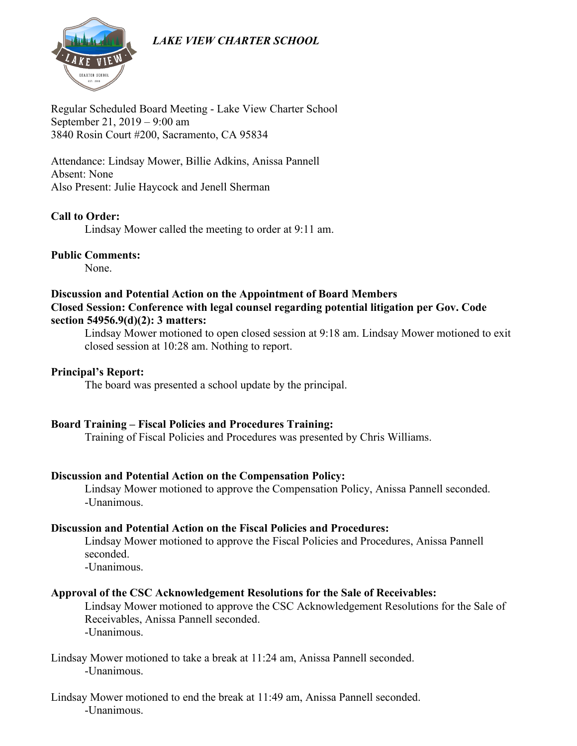# *LAKE VIEW CHARTER SCHOOL*



Regular Scheduled Board Meeting - Lake View Charter School September 21, 2019 – 9:00 am 3840 Rosin Court #200, Sacramento, CA 95834

Attendance: Lindsay Mower, Billie Adkins, Anissa Pannell Absent: None Also Present: Julie Haycock and Jenell Sherman

# **Call to Order:**

Lindsay Mower called the meeting to order at 9:11 am.

#### **Public Comments:**

None.

#### **Discussion and Potential Action on the Appointment of Board Members Closed Session: Conference with legal counsel regarding potential litigation per Gov. Code section 54956.9(d)(2): 3 matters:**

Lindsay Mower motioned to open closed session at 9:18 am. Lindsay Mower motioned to exit closed session at 10:28 am. Nothing to report.

#### **Principal's Report:**

The board was presented a school update by the principal.

# **Board Training – Fiscal Policies and Procedures Training:**

Training of Fiscal Policies and Procedures was presented by Chris Williams.

#### **Discussion and Potential Action on the Compensation Policy:**

Lindsay Mower motioned to approve the Compensation Policy, Anissa Pannell seconded. -Unanimous.

#### **Discussion and Potential Action on the Fiscal Policies and Procedures:**

Lindsay Mower motioned to approve the Fiscal Policies and Procedures, Anissa Pannell seconded.

-Unanimous.

# **Approval of the CSC Acknowledgement Resolutions for the Sale of Receivables:**

Lindsay Mower motioned to approve the CSC Acknowledgement Resolutions for the Sale of Receivables, Anissa Pannell seconded. -Unanimous.

#### Lindsay Mower motioned to take a break at 11:24 am, Anissa Pannell seconded. -Unanimous.

Lindsay Mower motioned to end the break at 11:49 am, Anissa Pannell seconded. -Unanimous.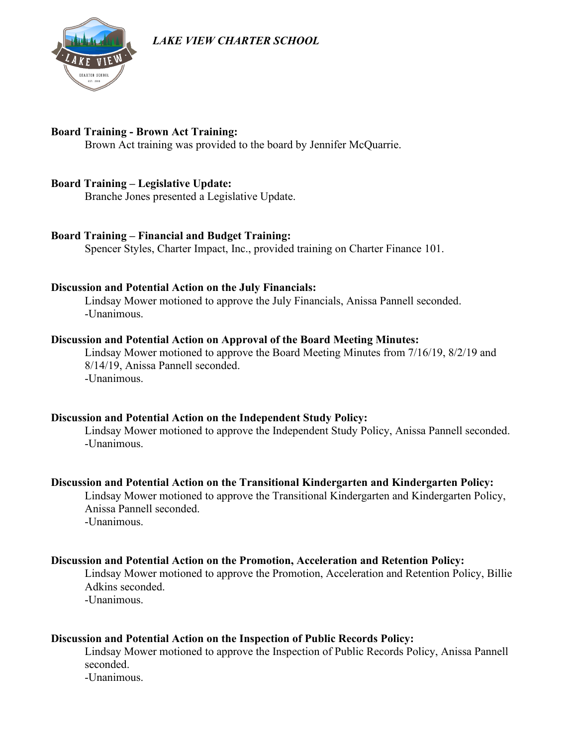*LAKE VIEW CHARTER SCHOOL*



# **Board Training - Brown Act Training:**

Brown Act training was provided to the board by Jennifer McQuarrie.

# **Board Training – Legislative Update:**

Branche Jones presented a Legislative Update.

# **Board Training – Financial and Budget Training:**

Spencer Styles, Charter Impact, Inc., provided training on Charter Finance 101.

# **Discussion and Potential Action on the July Financials:**

Lindsay Mower motioned to approve the July Financials, Anissa Pannell seconded. -Unanimous.

#### **Discussion and Potential Action on Approval of the Board Meeting Minutes:**

Lindsay Mower motioned to approve the Board Meeting Minutes from 7/16/19, 8/2/19 and 8/14/19, Anissa Pannell seconded. -Unanimous.

# **Discussion and Potential Action on the Independent Study Policy:**

Lindsay Mower motioned to approve the Independent Study Policy, Anissa Pannell seconded. -Unanimous.

# **Discussion and Potential Action on the Transitional Kindergarten and Kindergarten Policy:**

Lindsay Mower motioned to approve the Transitional Kindergarten and Kindergarten Policy, Anissa Pannell seconded. -Unanimous.

# **Discussion and Potential Action on the Promotion, Acceleration and Retention Policy:**

Lindsay Mower motioned to approve the Promotion, Acceleration and Retention Policy, Billie Adkins seconded.

-Unanimous.

# **Discussion and Potential Action on the Inspection of Public Records Policy:**

Lindsay Mower motioned to approve the Inspection of Public Records Policy, Anissa Pannell seconded.

-Unanimous.